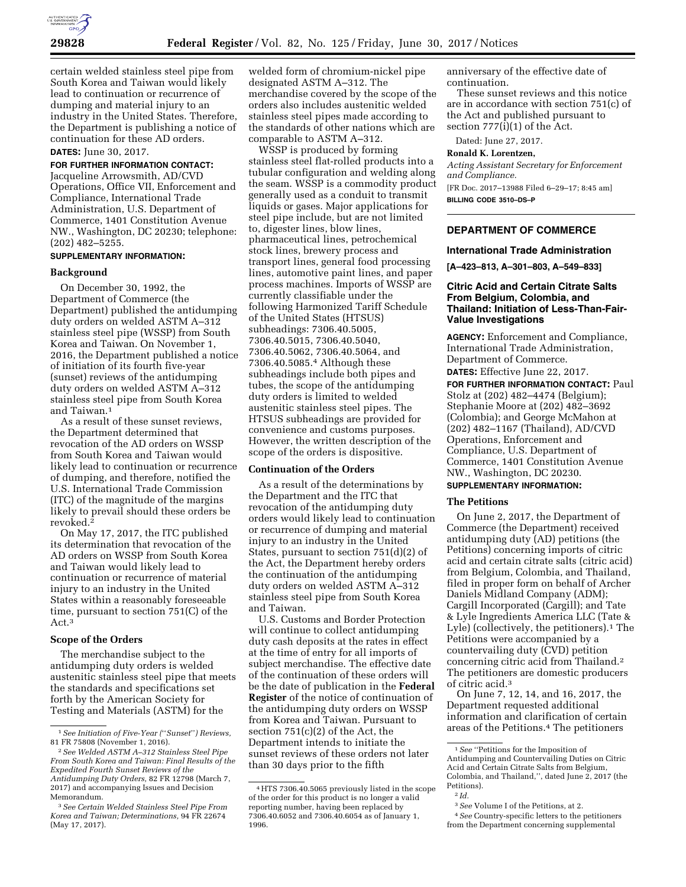

certain welded stainless steel pipe from South Korea and Taiwan would likely lead to continuation or recurrence of dumping and material injury to an industry in the United States. Therefore, the Department is publishing a notice of continuation for these AD orders.

# **DATES:** June 30, 2017.

**FOR FURTHER INFORMATION CONTACT:** 

Jacqueline Arrowsmith, AD/CVD Operations, Office VII, Enforcement and Compliance, International Trade Administration, U.S. Department of Commerce, 1401 Constitution Avenue NW., Washington, DC 20230; telephone: (202) 482–5255.

# **SUPPLEMENTARY INFORMATION:**

#### **Background**

On December 30, 1992, the Department of Commerce (the Department) published the antidumping duty orders on welded ASTM A–312 stainless steel pipe (WSSP) from South Korea and Taiwan. On November 1, 2016, the Department published a notice of initiation of its fourth five-year (sunset) reviews of the antidumping duty orders on welded ASTM A–312 stainless steel pipe from South Korea and Taiwan.1

As a result of these sunset reviews, the Department determined that revocation of the AD orders on WSSP from South Korea and Taiwan would likely lead to continuation or recurrence of dumping, and therefore, notified the U.S. International Trade Commission (ITC) of the magnitude of the margins likely to prevail should these orders be revoked.2

On May 17, 2017, the ITC published its determination that revocation of the AD orders on WSSP from South Korea and Taiwan would likely lead to continuation or recurrence of material injury to an industry in the United States within a reasonably foreseeable time, pursuant to section 751(C) of the Act.<sup>3</sup>

# **Scope of the Orders**

The merchandise subject to the antidumping duty orders is welded austenitic stainless steel pipe that meets the standards and specifications set forth by the American Society for Testing and Materials (ASTM) for the

welded form of chromium-nickel pipe designated ASTM A–312. The merchandise covered by the scope of the orders also includes austenitic welded stainless steel pipes made according to the standards of other nations which are comparable to ASTM A–312.

WSSP is produced by forming stainless steel flat-rolled products into a tubular configuration and welding along the seam. WSSP is a commodity product generally used as a conduit to transmit liquids or gases. Major applications for steel pipe include, but are not limited to, digester lines, blow lines, pharmaceutical lines, petrochemical stock lines, brewery process and transport lines, general food processing lines, automotive paint lines, and paper process machines. Imports of WSSP are currently classifiable under the following Harmonized Tariff Schedule of the United States (HTSUS) subheadings: 7306.40.5005, 7306.40.5015, 7306.40.5040, 7306.40.5062, 7306.40.5064, and 7306.40.5085.4 Although these subheadings include both pipes and tubes, the scope of the antidumping duty orders is limited to welded austenitic stainless steel pipes. The HTSUS subheadings are provided for convenience and customs purposes. However, the written description of the scope of the orders is dispositive.

### **Continuation of the Orders**

As a result of the determinations by the Department and the ITC that revocation of the antidumping duty orders would likely lead to continuation or recurrence of dumping and material injury to an industry in the United States, pursuant to section 751(d)(2) of the Act, the Department hereby orders the continuation of the antidumping duty orders on welded ASTM A–312 stainless steel pipe from South Korea and Taiwan.

U.S. Customs and Border Protection will continue to collect antidumping duty cash deposits at the rates in effect at the time of entry for all imports of subject merchandise. The effective date of the continuation of these orders will be the date of publication in the **Federal Register** of the notice of continuation of the antidumping duty orders on WSSP from Korea and Taiwan. Pursuant to section 751(c)(2) of the Act, the Department intends to initiate the sunset reviews of these orders not later than 30 days prior to the fifth

anniversary of the effective date of continuation.

These sunset reviews and this notice are in accordance with section 751(c) of the Act and published pursuant to section 777(i)(1) of the Act.

Dated: June 27, 2017.

#### **Ronald K. Lorentzen,**

*Acting Assistant Secretary for Enforcement and Compliance.* 

[FR Doc. 2017–13988 Filed 6–29–17; 8:45 am] **BILLING CODE 3510–DS–P** 

# **DEPARTMENT OF COMMERCE**

### **International Trade Administration**

**[A–423–813, A–301–803, A–549–833]** 

## **Citric Acid and Certain Citrate Salts From Belgium, Colombia, and Thailand: Initiation of Less-Than-Fair-Value Investigations**

**AGENCY:** Enforcement and Compliance, International Trade Administration, Department of Commerce.

**DATES:** Effective June 22, 2017. **FOR FURTHER INFORMATION CONTACT:** Paul Stolz at (202) 482–4474 (Belgium); Stephanie Moore at (202) 482–3692 (Colombia); and George McMahon at (202) 482–1167 (Thailand), AD/CVD Operations, Enforcement and Compliance, U.S. Department of Commerce, 1401 Constitution Avenue NW., Washington, DC 20230.

# **SUPPLEMENTARY INFORMATION:**

#### **The Petitions**

On June 2, 2017, the Department of Commerce (the Department) received antidumping duty (AD) petitions (the Petitions) concerning imports of citric acid and certain citrate salts (citric acid) from Belgium, Colombia, and Thailand, filed in proper form on behalf of Archer Daniels Midland Company (ADM); Cargill Incorporated (Cargill); and Tate & Lyle Ingredients America LLC (Tate & Lyle) (collectively, the petitioners).<sup>1</sup> The Petitions were accompanied by a countervailing duty (CVD) petition concerning citric acid from Thailand.2 The petitioners are domestic producers of citric acid.3

On June 7, 12, 14, and 16, 2017, the Department requested additional information and clarification of certain areas of the Petitions.4 The petitioners

<sup>1</sup>*See Initiation of Five-Year (*''*Sunset*''*) Reviews,*  81 FR 75808 (November 1, 2016).

<sup>2</sup>*See Welded ASTM A–312 Stainless Steel Pipe From South Korea and Taiwan: Final Results of the Expedited Fourth Sunset Reviews of the Antidumping Duty Orders,* 82 FR 12798 (March 7, 2017) and accompanying Issues and Decision Memorandum.

<sup>3</sup>*See Certain Welded Stainless Steel Pipe From Korea and Taiwan; Determinations,* 94 FR 22674 (May 17, 2017).

<sup>4</sup>HTS 7306.40.5065 previously listed in the scope of the order for this product is no longer a valid reporting number, having been replaced by 7306.40.6052 and 7306.40.6054 as of January 1, 1996.

<sup>1</sup>*See* ''Petitions for the Imposition of Antidumping and Countervailing Duties on Citric Acid and Certain Citrate Salts from Belgium, Colombia, and Thailand,'', dated June 2, 2017 (the Petitions).

<sup>2</sup> *Id.* 

<sup>3</sup>*See* Volume I of the Petitions, at 2.

<sup>4</sup>*See* Country-specific letters to the petitioners from the Department concerning supplemental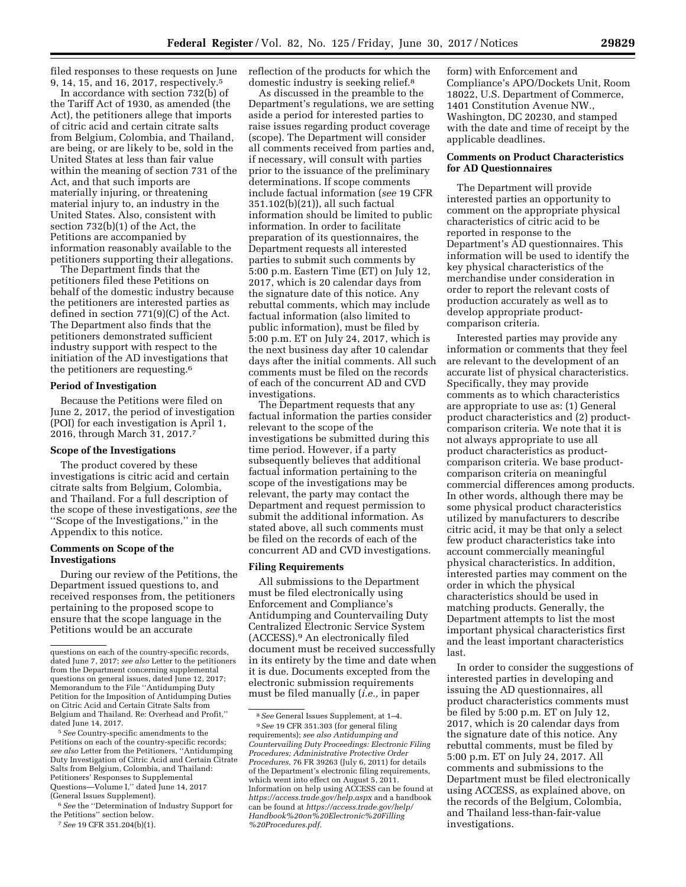filed responses to these requests on June 9, 14, 15, and 16, 2017, respectively.5

In accordance with section 732(b) of the Tariff Act of 1930, as amended (the Act), the petitioners allege that imports of citric acid and certain citrate salts from Belgium, Colombia, and Thailand, are being, or are likely to be, sold in the United States at less than fair value within the meaning of section 731 of the Act, and that such imports are materially injuring, or threatening material injury to, an industry in the United States. Also, consistent with section 732(b)(1) of the Act, the Petitions are accompanied by information reasonably available to the petitioners supporting their allegations.

The Department finds that the petitioners filed these Petitions on behalf of the domestic industry because the petitioners are interested parties as defined in section 771(9)(C) of the Act. The Department also finds that the petitioners demonstrated sufficient industry support with respect to the initiation of the AD investigations that the petitioners are requesting.6

## **Period of Investigation**

Because the Petitions were filed on June 2, 2017, the period of investigation (POI) for each investigation is April 1, 2016, through March 31, 2017.7

#### **Scope of the Investigations**

The product covered by these investigations is citric acid and certain citrate salts from Belgium, Colombia, and Thailand. For a full description of the scope of these investigations, *see* the ''Scope of the Investigations,'' in the Appendix to this notice.

## **Comments on Scope of the Investigations**

During our review of the Petitions, the Department issued questions to, and received responses from, the petitioners pertaining to the proposed scope to ensure that the scope language in the Petitions would be an accurate

5*See* Country-specific amendments to the Petitions on each of the country-specific records; *see also* Letter from the Petitioners, ''Antidumping Duty Investigation of Citric Acid and Certain Citrate Salts from Belgium, Colombia, and Thailand: Petitioners' Responses to Supplemental Questions—Volume I,'' dated June 14, 2017 (General Issues Supplement).

6*See* the ''Determination of Industry Support for the Petitions'' section below.

7*See* 19 CFR 351.204(b)(1).

reflection of the products for which the domestic industry is seeking relief.8

As discussed in the preamble to the Department's regulations, we are setting aside a period for interested parties to raise issues regarding product coverage (scope). The Department will consider all comments received from parties and, if necessary, will consult with parties prior to the issuance of the preliminary determinations. If scope comments include factual information (*see* 19 CFR 351.102(b)(21)), all such factual information should be limited to public information. In order to facilitate preparation of its questionnaires, the Department requests all interested parties to submit such comments by 5:00 p.m. Eastern Time (ET) on July 12, 2017, which is 20 calendar days from the signature date of this notice. Any rebuttal comments, which may include factual information (also limited to public information), must be filed by 5:00 p.m. ET on July 24, 2017, which is the next business day after 10 calendar days after the initial comments. All such comments must be filed on the records of each of the concurrent AD and CVD investigations.

The Department requests that any factual information the parties consider relevant to the scope of the investigations be submitted during this time period. However, if a party subsequently believes that additional factual information pertaining to the scope of the investigations may be relevant, the party may contact the Department and request permission to submit the additional information. As stated above, all such comments must be filed on the records of each of the concurrent AD and CVD investigations.

### **Filing Requirements**

All submissions to the Department must be filed electronically using Enforcement and Compliance's Antidumping and Countervailing Duty Centralized Electronic Service System (ACCESS).9 An electronically filed document must be received successfully in its entirety by the time and date when it is due. Documents excepted from the electronic submission requirements must be filed manually (*i.e.,* in paper

form) with Enforcement and Compliance's APO/Dockets Unit, Room 18022, U.S. Department of Commerce, 1401 Constitution Avenue NW., Washington, DC 20230, and stamped with the date and time of receipt by the applicable deadlines.

## **Comments on Product Characteristics for AD Questionnaires**

The Department will provide interested parties an opportunity to comment on the appropriate physical characteristics of citric acid to be reported in response to the Department's AD questionnaires. This information will be used to identify the key physical characteristics of the merchandise under consideration in order to report the relevant costs of production accurately as well as to develop appropriate productcomparison criteria.

Interested parties may provide any information or comments that they feel are relevant to the development of an accurate list of physical characteristics. Specifically, they may provide comments as to which characteristics are appropriate to use as: (1) General product characteristics and (2) productcomparison criteria. We note that it is not always appropriate to use all product characteristics as productcomparison criteria. We base productcomparison criteria on meaningful commercial differences among products. In other words, although there may be some physical product characteristics utilized by manufacturers to describe citric acid, it may be that only a select few product characteristics take into account commercially meaningful physical characteristics. In addition, interested parties may comment on the order in which the physical characteristics should be used in matching products. Generally, the Department attempts to list the most important physical characteristics first and the least important characteristics last.

In order to consider the suggestions of interested parties in developing and issuing the AD questionnaires, all product characteristics comments must be filed by 5:00 p.m. ET on July 12, 2017, which is 20 calendar days from the signature date of this notice. Any rebuttal comments, must be filed by 5:00 p.m. ET on July 24, 2017. All comments and submissions to the Department must be filed electronically using ACCESS, as explained above, on the records of the Belgium, Colombia, and Thailand less-than-fair-value investigations.

questions on each of the country-specific records, dated June 7, 2017; *see also* Letter to the petitioners from the Department concerning supplemental questions on general issues, dated June 12, 2017; Memorandum to the File ''Antidumping Duty Petition for the Imposition of Antidumping Duties on Citric Acid and Certain Citrate Salts from Belgium and Thailand. Re: Overhead and Profit,'' dated June 14, 2017.

<sup>8</sup>*See* General Issues Supplement, at 1–4. 9*See* 19 CFR 351.303 (for general filing requirements); *see also Antidumping and Countervailing Duty Proceedings: Electronic Filing Procedures; Administrative Protective Order Procedures,* 76 FR 39263 (July 6, 2011) for details of the Department's electronic filing requirements, which went into effect on August 5, 2011. Information on help using ACCESS can be found at *<https://access.trade.gov/help.aspx>* and a handbook can be found at *[https://access.trade.gov/help/](https://access.trade.gov/help/Handbook%20on%20Electronic%20Filling%20Procedures.pdf) [Handbook%20on%20Electronic%20Filling](https://access.trade.gov/help/Handbook%20on%20Electronic%20Filling%20Procedures.pdf) [%20Procedures.pdf.](https://access.trade.gov/help/Handbook%20on%20Electronic%20Filling%20Procedures.pdf)*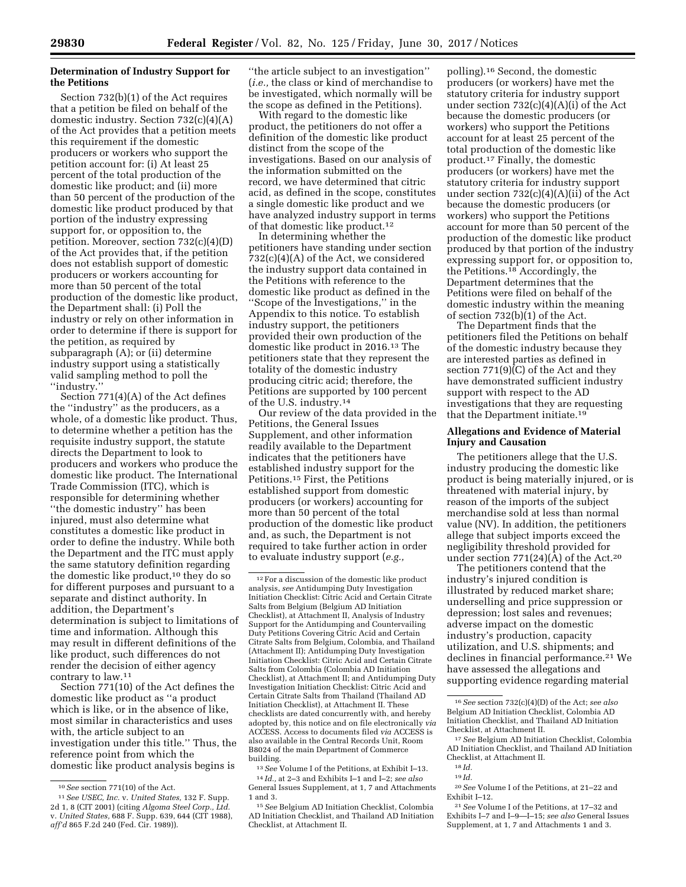# **Determination of Industry Support for the Petitions**

Section 732(b)(1) of the Act requires that a petition be filed on behalf of the domestic industry. Section 732(c)(4)(A) of the Act provides that a petition meets this requirement if the domestic producers or workers who support the petition account for: (i) At least 25 percent of the total production of the domestic like product; and (ii) more than 50 percent of the production of the domestic like product produced by that portion of the industry expressing support for, or opposition to, the petition. Moreover, section 732(c)(4)(D) of the Act provides that, if the petition does not establish support of domestic producers or workers accounting for more than 50 percent of the total production of the domestic like product, the Department shall: (i) Poll the industry or rely on other information in order to determine if there is support for the petition, as required by subparagraph (A); or (ii) determine industry support using a statistically valid sampling method to poll the ''industry.''

Section 771(4)(A) of the Act defines the ''industry'' as the producers, as a whole, of a domestic like product. Thus, to determine whether a petition has the requisite industry support, the statute directs the Department to look to producers and workers who produce the domestic like product. The International Trade Commission (ITC), which is responsible for determining whether ''the domestic industry'' has been injured, must also determine what constitutes a domestic like product in order to define the industry. While both the Department and the ITC must apply the same statutory definition regarding the domestic like product,10 they do so for different purposes and pursuant to a separate and distinct authority. In addition, the Department's determination is subject to limitations of time and information. Although this may result in different definitions of the like product, such differences do not render the decision of either agency contrary to law.11

Section 771(10) of the Act defines the domestic like product as ''a product which is like, or in the absence of like, most similar in characteristics and uses with, the article subject to an investigation under this title.'' Thus, the reference point from which the domestic like product analysis begins is

''the article subject to an investigation'' (*i.e.,* the class or kind of merchandise to be investigated, which normally will be the scope as defined in the Petitions).

With regard to the domestic like product, the petitioners do not offer a definition of the domestic like product distinct from the scope of the investigations. Based on our analysis of the information submitted on the record, we have determined that citric acid, as defined in the scope, constitutes a single domestic like product and we have analyzed industry support in terms of that domestic like product.12

In determining whether the petitioners have standing under section 732(c)(4)(A) of the Act, we considered the industry support data contained in the Petitions with reference to the domestic like product as defined in the ''Scope of the Investigations,'' in the Appendix to this notice. To establish industry support, the petitioners provided their own production of the domestic like product in 2016.13 The petitioners state that they represent the totality of the domestic industry producing citric acid; therefore, the Petitions are supported by 100 percent of the U.S. industry.14

Our review of the data provided in the Petitions, the General Issues Supplement, and other information readily available to the Department indicates that the petitioners have established industry support for the Petitions.15 First, the Petitions established support from domestic producers (or workers) accounting for more than 50 percent of the total production of the domestic like product and, as such, the Department is not required to take further action in order to evaluate industry support (*e.g.,* 

13*See* Volume I of the Petitions, at Exhibit I–13.

polling).16 Second, the domestic producers (or workers) have met the statutory criteria for industry support under section 732(c)(4)(A)(i) of the Act because the domestic producers (or workers) who support the Petitions account for at least 25 percent of the total production of the domestic like product.17 Finally, the domestic producers (or workers) have met the statutory criteria for industry support under section 732(c)(4)(A)(ii) of the Act because the domestic producers (or workers) who support the Petitions account for more than 50 percent of the production of the domestic like product produced by that portion of the industry expressing support for, or opposition to, the Petitions.18 Accordingly, the Department determines that the Petitions were filed on behalf of the domestic industry within the meaning of section 732(b)(1) of the Act.

The Department finds that the petitioners filed the Petitions on behalf of the domestic industry because they are interested parties as defined in section 771(9)(C) of the Act and they have demonstrated sufficient industry support with respect to the AD investigations that they are requesting that the Department initiate.19

## **Allegations and Evidence of Material Injury and Causation**

The petitioners allege that the U.S. industry producing the domestic like product is being materially injured, or is threatened with material injury, by reason of the imports of the subject merchandise sold at less than normal value (NV). In addition, the petitioners allege that subject imports exceed the negligibility threshold provided for under section  $771(24)(A)$  of the Act.<sup>20</sup>

The petitioners contend that the industry's injured condition is illustrated by reduced market share; underselling and price suppression or depression; lost sales and revenues; adverse impact on the domestic industry's production, capacity utilization, and U.S. shipments; and declines in financial performance.<sup>21</sup> We have assessed the allegations and supporting evidence regarding material

20*See* Volume I of the Petitions, at 21–22 and Exhibit I–12.

<sup>10</sup>*See* section 771(10) of the Act.

<sup>11</sup>*See USEC, Inc.* v. *United States,* 132 F. Supp. 2d 1, 8 (CIT 2001) (citing *Algoma Steel Corp., Ltd.*  v. *United States,* 688 F. Supp. 639, 644 (CIT 1988), *aff'd* 865 F.2d 240 (Fed. Cir. 1989)).

<sup>12</sup>For a discussion of the domestic like product analysis, *see* Antidumping Duty Investigation Initiation Checklist: Citric Acid and Certain Citrate Salts from Belgium (Belgium AD Initiation Checklist), at Attachment II, Analysis of Industry Support for the Antidumping and Countervailing Duty Petitions Covering Citric Acid and Certain Citrate Salts from Belgium, Colombia, and Thailand (Attachment II); Antidumping Duty Investigation Initiation Checklist: Citric Acid and Certain Citrate Salts from Colombia (Colombia AD Initiation Checklist), at Attachment II; and Antidumping Duty Investigation Initiation Checklist: Citric Acid and Certain Citrate Salts from Thailand (Thailand AD Initiation Checklist), at Attachment II. These checklists are dated concurrently with, and hereby adopted by, this notice and on file electronically *via*  ACCESS. Access to documents filed *via* ACCESS is also available in the Central Records Unit, Room B8024 of the main Department of Commerce building.

<sup>14</sup> *Id.,* at 2–3 and Exhibits I–1 and I–2; *see also*  General Issues Supplement, at 1, 7 and Attachments 1 and 3.

<sup>15</sup>*See* Belgium AD Initiation Checklist, Colombia AD Initiation Checklist, and Thailand AD Initiation Checklist, at Attachment II.

<sup>16</sup>*See* section 732(c)(4)(D) of the Act; *see also*  Belgium AD Initiation Checklist, Colombia AD Initiation Checklist, and Thailand AD Initiation Checklist, at Attachment II.

<sup>17</sup>*See* Belgium AD Initiation Checklist, Colombia AD Initiation Checklist, and Thailand AD Initiation Checklist, at Attachment II.

<sup>18</sup> *Id.* 

<sup>19</sup> *Id.* 

<sup>21</sup>*See* Volume I of the Petitions, at 17–32 and Exhibits I–7 and I–9—I–15; *see also* General Issues Supplement, at 1, 7 and Attachments 1 and 3.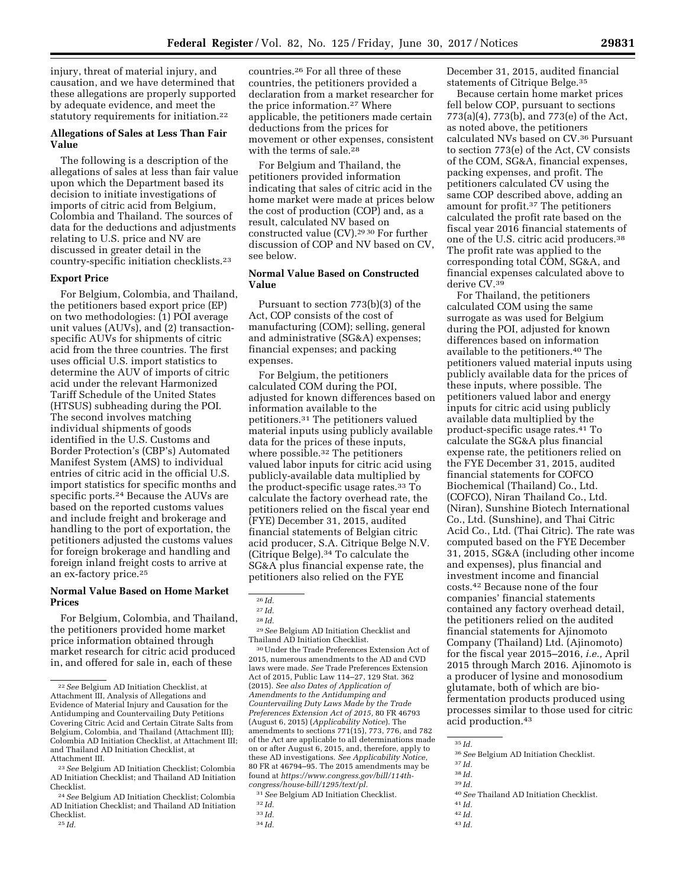injury, threat of material injury, and causation, and we have determined that these allegations are properly supported by adequate evidence, and meet the statutory requirements for initiation.22

## **Allegations of Sales at Less Than Fair Value**

The following is a description of the allegations of sales at less than fair value upon which the Department based its decision to initiate investigations of imports of citric acid from Belgium, Colombia and Thailand. The sources of data for the deductions and adjustments relating to U.S. price and NV are discussed in greater detail in the country-specific initiation checklists.23

## **Export Price**

For Belgium, Colombia, and Thailand, the petitioners based export price (EP) on two methodologies: (1) POI average unit values (AUVs), and (2) transactionspecific AUVs for shipments of citric acid from the three countries. The first uses official U.S. import statistics to determine the AUV of imports of citric acid under the relevant Harmonized Tariff Schedule of the United States (HTSUS) subheading during the POI. The second involves matching individual shipments of goods identified in the U.S. Customs and Border Protection's (CBP's) Automated Manifest System (AMS) to individual entries of citric acid in the official U.S. import statistics for specific months and specific ports.24 Because the AUVs are based on the reported customs values and include freight and brokerage and handling to the port of exportation, the petitioners adjusted the customs values for foreign brokerage and handling and foreign inland freight costs to arrive at an ex-factory price.25

# **Normal Value Based on Home Market Prices**

For Belgium, Colombia, and Thailand, the petitioners provided home market price information obtained through market research for citric acid produced in, and offered for sale in, each of these

25 *Id.* 

countries.26 For all three of these countries, the petitioners provided a declaration from a market researcher for the price information.27 Where applicable, the petitioners made certain deductions from the prices for movement or other expenses, consistent with the terms of sale.<sup>28</sup>

For Belgium and Thailand, the petitioners provided information indicating that sales of citric acid in the home market were made at prices below the cost of production (COP) and, as a result, calculated NV based on constructed value (CV).29 30 For further discussion of COP and NV based on CV, see below.

# **Normal Value Based on Constructed Value**

Pursuant to section 773(b)(3) of the Act, COP consists of the cost of manufacturing (COM); selling, general and administrative (SG&A) expenses; financial expenses; and packing expenses.

For Belgium, the petitioners calculated COM during the POI, adjusted for known differences based on information available to the petitioners.31 The petitioners valued material inputs using publicly available data for the prices of these inputs, where possible.32 The petitioners valued labor inputs for citric acid using publicly-available data multiplied by the product-specific usage rates.33 To calculate the factory overhead rate, the petitioners relied on the fiscal year end (FYE) December 31, 2015, audited financial statements of Belgian citric acid producer, S.A. Citrique Belge N.V. (Citrique Belge).34 To calculate the SG&A plus financial expense rate, the petitioners also relied on the FYE

29*See* Belgium AD Initiation Checklist and Thailand AD Initiation Checklist.

30Under the Trade Preferences Extension Act of 2015, numerous amendments to the AD and CVD laws were made. *See* Trade Preferences Extension Act of 2015, Public Law 114–27, 129 Stat. 362 (2015). *See also Dates of Application of Amendments to the Antidumping and Countervailing Duty Laws Made by the Trade Preferences Extension Act of 2015,* 80 FR 46793 (August 6, 2015) (*Applicability Notice*). The amendments to sections 771(15), 773, 776, and 782 of the Act are applicable to all determinations made on or after August 6, 2015, and, therefore, apply to these AD investigations. *See Applicability Notice,*  80 FR at 46794–95. The 2015 amendments may be found at *[https://www.congress.gov/bill/114th](https://www.congress.gov/bill/114th-congress/house-bill/1295/text/pl)[congress/house-bill/1295/text/pl.](https://www.congress.gov/bill/114th-congress/house-bill/1295/text/pl)* 

31*See* Belgium AD Initiation Checklist.

- 33 *Id.*
- 34 *Id.*

December 31, 2015, audited financial statements of Citrique Belge.35

Because certain home market prices fell below COP, pursuant to sections 773(a)(4), 773(b), and 773(e) of the Act, as noted above, the petitioners calculated NVs based on CV.36 Pursuant to section 773(e) of the Act, CV consists of the COM, SG&A, financial expenses, packing expenses, and profit. The petitioners calculated CV using the same COP described above, adding an amount for profit.37 The petitioners calculated the profit rate based on the fiscal year 2016 financial statements of one of the U.S. citric acid producers.38 The profit rate was applied to the corresponding total COM, SG&A, and financial expenses calculated above to derive CV.<sup>39</sup>

For Thailand, the petitioners calculated COM using the same surrogate as was used for Belgium during the POI, adjusted for known differences based on information available to the petitioners.40 The petitioners valued material inputs using publicly available data for the prices of these inputs, where possible. The petitioners valued labor and energy inputs for citric acid using publicly available data multiplied by the product-specific usage rates.41 To calculate the SG&A plus financial expense rate, the petitioners relied on the FYE December 31, 2015, audited financial statements for COFCO Biochemical (Thailand) Co., Ltd. (COFCO), Niran Thailand Co., Ltd. (Niran), Sunshine Biotech International Co., Ltd. (Sunshine), and Thai Citric Acid Co., Ltd. (Thai Citric). The rate was computed based on the FYE December 31, 2015, SG&A (including other income and expenses), plus financial and investment income and financial costs.42 Because none of the four companies' financial statements contained any factory overhead detail, the petitioners relied on the audited financial statements for Ajinomoto Company (Thailand) Ltd. (Ajinomoto) for the fiscal year 2015–2016, *i.e.,* April 2015 through March 2016. Ajinomoto is a producer of lysine and monosodium glutamate, both of which are biofermentation products produced using processes similar to those used for citric acid production.43

- 38 *Id.*
- 39 *Id.*

<sup>22</sup>*See* Belgium AD Initiation Checklist, at Attachment III, Analysis of Allegations and Evidence of Material Injury and Causation for the Antidumping and Countervailing Duty Petitions Covering Citric Acid and Certain Citrate Salts from Belgium, Colombia, and Thailand (Attachment III); Colombia AD Initiation Checklist, at Attachment III; and Thailand AD Initiation Checklist, at Attachment III.

<sup>23</sup>*See* Belgium AD Initiation Checklist; Colombia AD Initiation Checklist; and Thailand AD Initiation Checklist.

<sup>24</sup>*See* Belgium AD Initiation Checklist; Colombia AD Initiation Checklist; and Thailand AD Initiation Checklist.

<sup>26</sup> *Id.* 

<sup>27</sup> *Id.* 

<sup>28</sup> *Id.* 

<sup>32</sup> *Id.* 

<sup>35</sup> *Id.* 

<sup>36</sup>*See* Belgium AD Initiation Checklist.

<sup>37</sup> *Id.* 

<sup>40</sup>*See* Thailand AD Initiation Checklist. 41 *Id.* 

<sup>42</sup> *Id.*  43 *Id.*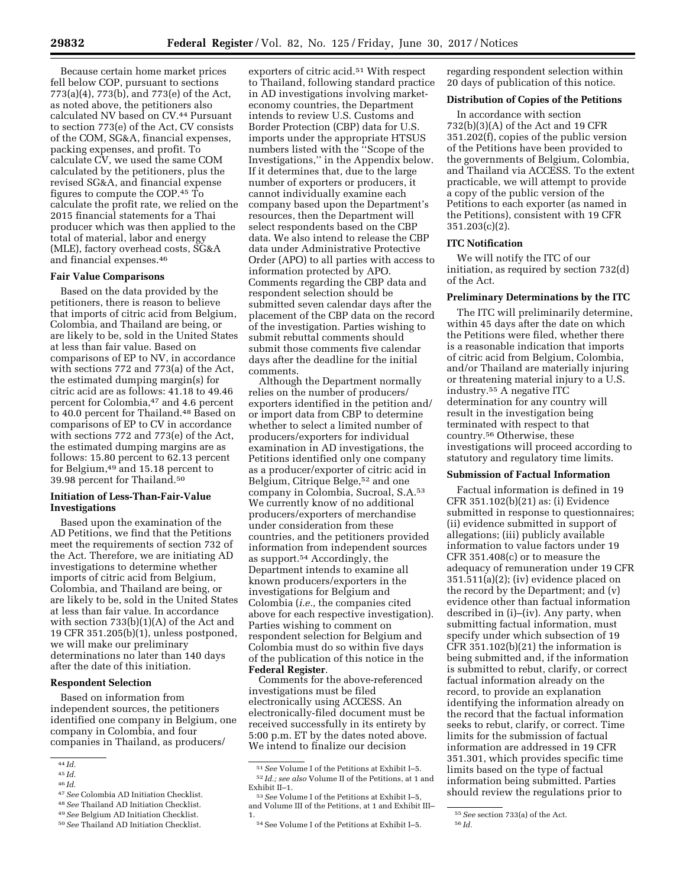Because certain home market prices fell below COP, pursuant to sections 773(a)(4), 773(b), and 773(e) of the Act, as noted above, the petitioners also calculated NV based on CV.44 Pursuant to section 773(e) of the Act, CV consists of the COM, SG&A, financial expenses, packing expenses, and profit. To calculate CV, we used the same COM calculated by the petitioners, plus the revised SG&A, and financial expense figures to compute the COP.45 To calculate the profit rate, we relied on the 2015 financial statements for a Thai producer which was then applied to the total of material, labor and energy (MLE), factory overhead costs, SG&A and financial expenses.46

### **Fair Value Comparisons**

Based on the data provided by the petitioners, there is reason to believe that imports of citric acid from Belgium, Colombia, and Thailand are being, or are likely to be, sold in the United States at less than fair value. Based on comparisons of EP to NV, in accordance with sections 772 and 773(a) of the Act, the estimated dumping margin(s) for citric acid are as follows: 41.18 to 49.46 percent for Colombia,47 and 4.6 percent to 40.0 percent for Thailand.<sup>48</sup> Based on comparisons of EP to CV in accordance with sections 772 and 773(e) of the Act, the estimated dumping margins are as follows: 15.80 percent to 62.13 percent for Belgium,<sup>49</sup> and 15.18 percent to 39.98 percent for Thailand.50

### **Initiation of Less-Than-Fair-Value Investigations**

Based upon the examination of the AD Petitions, we find that the Petitions meet the requirements of section 732 of the Act. Therefore, we are initiating AD investigations to determine whether imports of citric acid from Belgium, Colombia, and Thailand are being, or are likely to be, sold in the United States at less than fair value. In accordance with section 733(b)(1)(A) of the Act and 19 CFR 351.205(b)(1), unless postponed, we will make our preliminary determinations no later than 140 days after the date of this initiation.

### **Respondent Selection**

Based on information from independent sources, the petitioners identified one company in Belgium, one company in Colombia, and four companies in Thailand, as producers/

50*See* Thailand AD Initiation Checklist.

exporters of citric acid.<sup>51</sup> With respect to Thailand, following standard practice in AD investigations involving marketeconomy countries, the Department intends to review U.S. Customs and Border Protection (CBP) data for U.S. imports under the appropriate HTSUS numbers listed with the ''Scope of the Investigations,'' in the Appendix below. If it determines that, due to the large number of exporters or producers, it cannot individually examine each company based upon the Department's resources, then the Department will select respondents based on the CBP data. We also intend to release the CBP data under Administrative Protective Order (APO) to all parties with access to information protected by APO. Comments regarding the CBP data and respondent selection should be submitted seven calendar days after the placement of the CBP data on the record of the investigation. Parties wishing to submit rebuttal comments should submit those comments five calendar days after the deadline for the initial comments.

Although the Department normally relies on the number of producers/ exporters identified in the petition and/ or import data from CBP to determine whether to select a limited number of producers/exporters for individual examination in AD investigations, the Petitions identified only one company as a producer/exporter of citric acid in Belgium, Citrique Belge,<sup>52</sup> and one company in Colombia, Sucroal, S.A.53 We currently know of no additional producers/exporters of merchandise under consideration from these countries, and the petitioners provided information from independent sources as support.54 Accordingly, the Department intends to examine all known producers/exporters in the investigations for Belgium and Colombia (*i.e.,* the companies cited above for each respective investigation). Parties wishing to comment on respondent selection for Belgium and Colombia must do so within five days of the publication of this notice in the **Federal Register**.

Comments for the above-referenced investigations must be filed electronically using ACCESS. An electronically-filed document must be received successfully in its entirety by 5:00 p.m. ET by the dates noted above. We intend to finalize our decision

regarding respondent selection within 20 days of publication of this notice.

#### **Distribution of Copies of the Petitions**

In accordance with section 732(b)(3)(A) of the Act and 19 CFR 351.202(f), copies of the public version of the Petitions have been provided to the governments of Belgium, Colombia, and Thailand via ACCESS. To the extent practicable, we will attempt to provide a copy of the public version of the Petitions to each exporter (as named in the Petitions), consistent with 19 CFR 351.203(c)(2).

# **ITC Notification**

We will notify the ITC of our initiation, as required by section 732(d) of the Act.

#### **Preliminary Determinations by the ITC**

The ITC will preliminarily determine, within 45 days after the date on which the Petitions were filed, whether there is a reasonable indication that imports of citric acid from Belgium, Colombia, and/or Thailand are materially injuring or threatening material injury to a U.S. industry.55 A negative ITC determination for any country will result in the investigation being terminated with respect to that country.56 Otherwise, these investigations will proceed according to statutory and regulatory time limits.

#### **Submission of Factual Information**

Factual information is defined in 19 CFR 351.102(b)(21) as: (i) Evidence submitted in response to questionnaires; (ii) evidence submitted in support of allegations; (iii) publicly available information to value factors under 19 CFR 351.408(c) or to measure the adequacy of remuneration under 19 CFR  $351.511(a)(2)$ ; (iv) evidence placed on the record by the Department; and (v) evidence other than factual information described in (i)–(iv). Any party, when submitting factual information, must specify under which subsection of 19 CFR  $351.102(b)(21)$  the information is being submitted and, if the information is submitted to rebut, clarify, or correct factual information already on the record, to provide an explanation identifying the information already on the record that the factual information seeks to rebut, clarify, or correct. Time limits for the submission of factual information are addressed in 19 CFR 351.301, which provides specific time limits based on the type of factual information being submitted. Parties should review the regulations prior to

<sup>44</sup> *Id.* 

<sup>45</sup> *Id.* 

<sup>46</sup> *Id.* 

<sup>47</sup>*See* Colombia AD Initiation Checklist.

<sup>48</sup>*See* Thailand AD Initiation Checklist.

<sup>49</sup>*See* Belgium AD Initiation Checklist.

<sup>51</sup>*See* Volume I of the Petitions at Exhibit I–5. 52 *Id.; see also* Volume II of the Petitions, at 1 and

<sup>&</sup>lt;sup>53</sup> See Volume I of the Petitions at Exhibit I-5, and Volume III of the Petitions, at 1 and Exhibit III– 1.

<sup>54</sup>See Volume I of the Petitions at Exhibit I–5.

<sup>55</sup>*See* section 733(a) of the Act.

<sup>56</sup> *Id.*